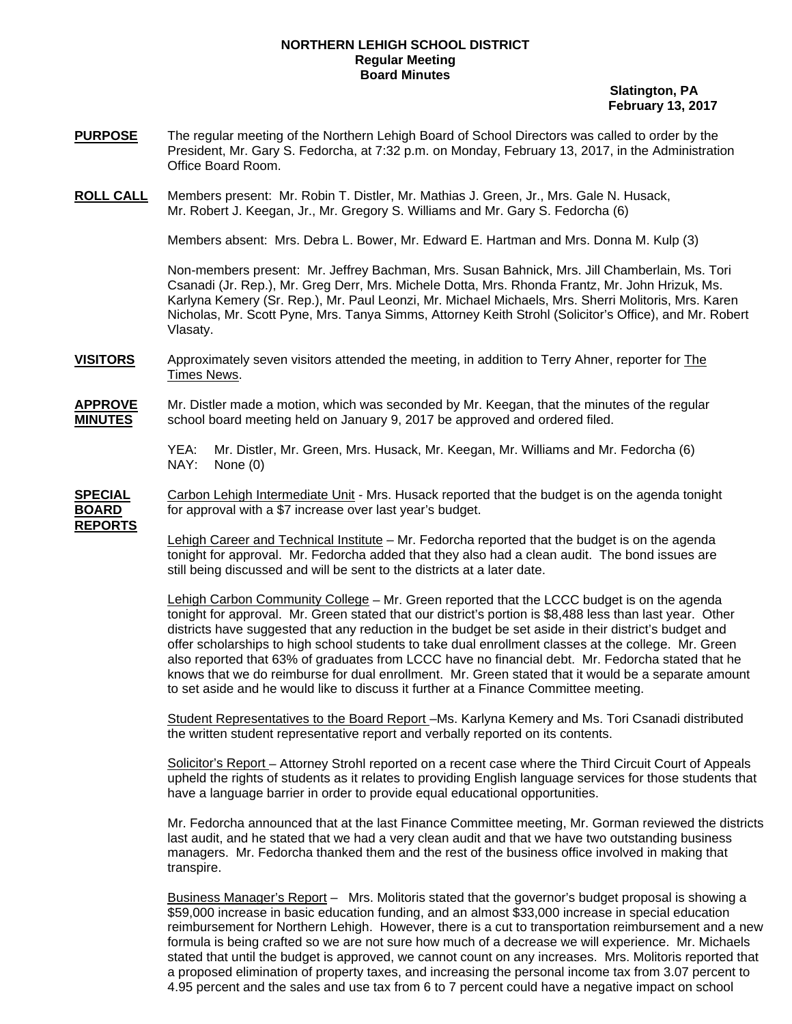## **NORTHERN LEHIGH SCHOOL DISTRICT Regular Meeting Board Minutes**

 **Slatington, PA February 13, 2017** 

- **PURPOSE** The regular meeting of the Northern Lehigh Board of School Directors was called to order by the President, Mr. Gary S. Fedorcha, at 7:32 p.m. on Monday, February 13, 2017, in the Administration Office Board Room.
- **ROLL CALL** Members present: Mr. Robin T. Distler, Mr. Mathias J. Green, Jr., Mrs. Gale N. Husack, Mr. Robert J. Keegan, Jr., Mr. Gregory S. Williams and Mr. Gary S. Fedorcha (6)

Members absent: Mrs. Debra L. Bower, Mr. Edward E. Hartman and Mrs. Donna M. Kulp (3)

Non-members present: Mr. Jeffrey Bachman, Mrs. Susan Bahnick, Mrs. Jill Chamberlain, Ms. Tori Csanadi (Jr. Rep.), Mr. Greg Derr, Mrs. Michele Dotta, Mrs. Rhonda Frantz, Mr. John Hrizuk, Ms. Karlyna Kemery (Sr. Rep.), Mr. Paul Leonzi, Mr. Michael Michaels, Mrs. Sherri Molitoris, Mrs. Karen Nicholas, Mr. Scott Pyne, Mrs. Tanya Simms, Attorney Keith Strohl (Solicitor's Office), and Mr. Robert Vlasaty.

**VISITORS** Approximately seven visitors attended the meeting, in addition to Terry Ahner, reporter for The Times News.

**APPROVE** Mr. Distler made a motion, which was seconded by Mr. Keegan, that the minutes of the regular **MINUTES** school board meeting held on January 9, 2017 be approved and ordered filed.

> YEA: Mr. Distler, Mr. Green, Mrs. Husack, Mr. Keegan, Mr. Williams and Mr. Fedorcha (6) NAY: None (0)

**SPECIAL** Carbon Lehigh Intermediate Unit - Mrs. Husack reported that the budget is on the agenda tonight **BOARD** for approval with a \$7 increase over last year's budget. **REPORTS**

> Lehigh Career and Technical Institute – Mr. Fedorcha reported that the budget is on the agenda tonight for approval. Mr. Fedorcha added that they also had a clean audit. The bond issues are still being discussed and will be sent to the districts at a later date.

 Lehigh Carbon Community College – Mr. Green reported that the LCCC budget is on the agenda tonight for approval. Mr. Green stated that our district's portion is \$8,488 less than last year. Other districts have suggested that any reduction in the budget be set aside in their district's budget and offer scholarships to high school students to take dual enrollment classes at the college. Mr. Green also reported that 63% of graduates from LCCC have no financial debt. Mr. Fedorcha stated that he knows that we do reimburse for dual enrollment. Mr. Green stated that it would be a separate amount to set aside and he would like to discuss it further at a Finance Committee meeting.

 Student Representatives to the Board Report –Ms. Karlyna Kemery and Ms. Tori Csanadi distributed the written student representative report and verbally reported on its contents.

Solicitor's Report – Attorney Strohl reported on a recent case where the Third Circuit Court of Appeals upheld the rights of students as it relates to providing English language services for those students that have a language barrier in order to provide equal educational opportunities.

Mr. Fedorcha announced that at the last Finance Committee meeting, Mr. Gorman reviewed the districts last audit, and he stated that we had a very clean audit and that we have two outstanding business managers. Mr. Fedorcha thanked them and the rest of the business office involved in making that transpire.

Business Manager's Report – Mrs. Molitoris stated that the governor's budget proposal is showing a \$59,000 increase in basic education funding, and an almost \$33,000 increase in special education reimbursement for Northern Lehigh. However, there is a cut to transportation reimbursement and a new formula is being crafted so we are not sure how much of a decrease we will experience. Mr. Michaels stated that until the budget is approved, we cannot count on any increases. Mrs. Molitoris reported that a proposed elimination of property taxes, and increasing the personal income tax from 3.07 percent to 4.95 percent and the sales and use tax from 6 to 7 percent could have a negative impact on school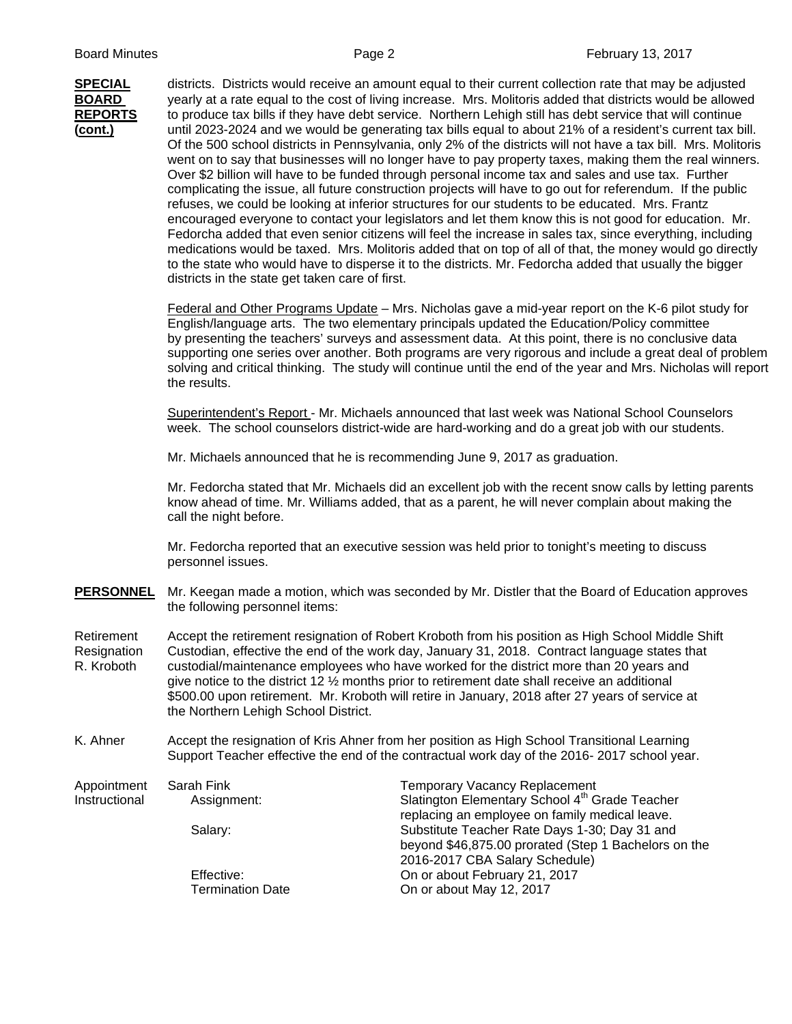

**SPECIAL** districts. Districts would receive an amount equal to their current collection rate that may be adjusted **BOARD** yearly at a rate equal to the cost of living increase. Mrs. Molitoris added that districts would be allowed **REPORTS** to produce tax bills if they have debt service. Northern Lehigh still has debt service that will continue **(cont.)** until 2023-2024 and we would be generating tax bills equal to about 21% of a resident's current tax bill. Of the 500 school districts in Pennsylvania, only 2% of the districts will not have a tax bill. Mrs. Molitoris went on to say that businesses will no longer have to pay property taxes, making them the real winners. Over \$2 billion will have to be funded through personal income tax and sales and use tax. Further complicating the issue, all future construction projects will have to go out for referendum. If the public refuses, we could be looking at inferior structures for our students to be educated. Mrs. Frantz encouraged everyone to contact your legislators and let them know this is not good for education. Mr. Fedorcha added that even senior citizens will feel the increase in sales tax, since everything, including medications would be taxed. Mrs. Molitoris added that on top of all of that, the money would go directly to the state who would have to disperse it to the districts. Mr. Fedorcha added that usually the bigger districts in the state get taken care of first.

> Federal and Other Programs Update – Mrs. Nicholas gave a mid-year report on the K-6 pilot study for English/language arts. The two elementary principals updated the Education/Policy committee by presenting the teachers' surveys and assessment data. At this point, there is no conclusive data supporting one series over another. Both programs are very rigorous and include a great deal of problem solving and critical thinking. The study will continue until the end of the year and Mrs. Nicholas will report the results.

 Superintendent's Report - Mr. Michaels announced that last week was National School Counselors week. The school counselors district-wide are hard-working and do a great job with our students.

Mr. Michaels announced that he is recommending June 9, 2017 as graduation.

 Mr. Fedorcha stated that Mr. Michaels did an excellent job with the recent snow calls by letting parents know ahead of time. Mr. Williams added, that as a parent, he will never complain about making the call the night before.

Mr. Fedorcha reported that an executive session was held prior to tonight's meeting to discuss personnel issues.

**PERSONNEL** Mr. Keegan made a motion, which was seconded by Mr. Distler that the Board of Education approves the following personnel items:

Retirement Accept the retirement resignation of Robert Kroboth from his position as High School Middle Shift Resignation Custodian, effective the end of the work day, January 31, 2018. Contract language states that R. Kroboth custodial/maintenance employees who have worked for the district more than 20 years and give notice to the district 12  $\frac{1}{2}$  months prior to retirement date shall receive an additional \$500.00 upon retirement. Mr. Kroboth will retire in January, 2018 after 27 years of service at the Northern Lehigh School District.

K. Ahner Accept the resignation of Kris Ahner from her position as High School Transitional Learning Support Teacher effective the end of the contractual work day of the 2016- 2017 school year.

| Appointment   | Sarah Fink<br>Temporary Vacancy Replacement |                                                                                                              |  |
|---------------|---------------------------------------------|--------------------------------------------------------------------------------------------------------------|--|
| Instructional | Assignment:                                 | Slatington Elementary School 4 <sup>th</sup> Grade Teacher<br>replacing an employee on family medical leave. |  |
|               | Salary:                                     | Substitute Teacher Rate Days 1-30; Day 31 and                                                                |  |
|               |                                             | beyond \$46,875.00 prorated (Step 1 Bachelors on the                                                         |  |
|               |                                             | 2016-2017 CBA Salary Schedule)                                                                               |  |
|               | Effective:                                  | On or about February 21, 2017                                                                                |  |
|               | <b>Termination Date</b>                     | On or about May 12, 2017                                                                                     |  |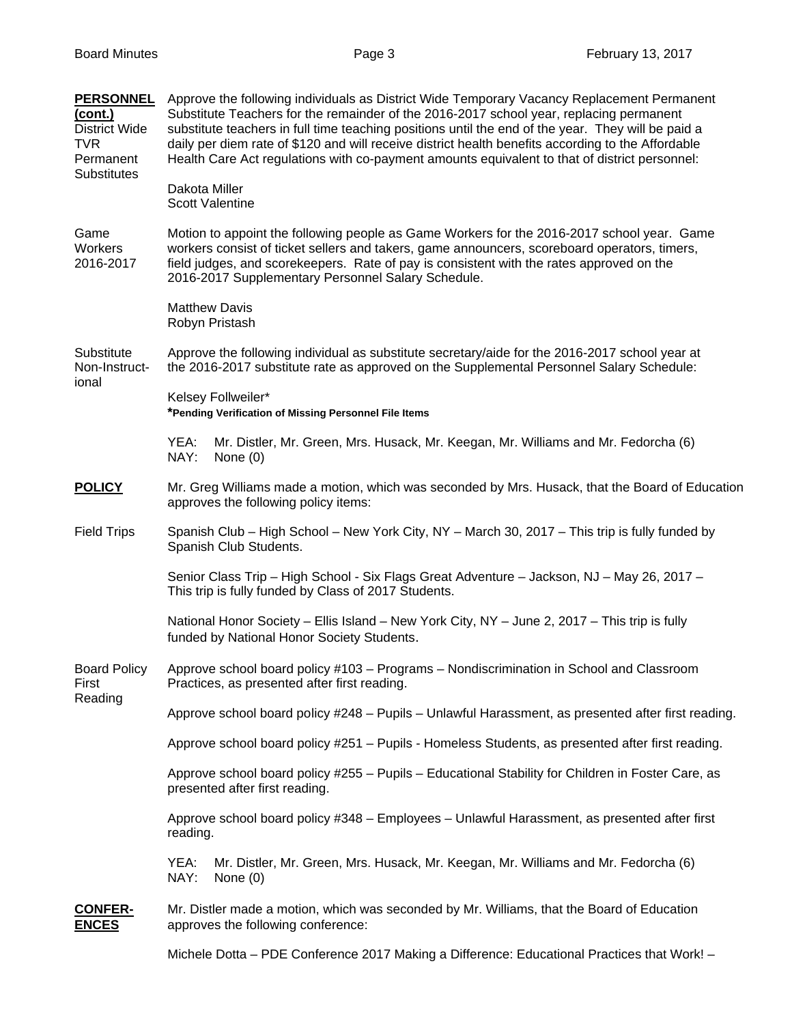| <b>PERSONNEL</b><br>(cont.)<br><b>District Wide</b><br><b>TVR</b><br>Permanent | Approve the following individuals as District Wide Temporary Vacancy Replacement Permanent<br>Substitute Teachers for the remainder of the 2016-2017 school year, replacing permanent<br>substitute teachers in full time teaching positions until the end of the year. They will be paid a<br>daily per diem rate of \$120 and will receive district health benefits according to the Affordable<br>Health Care Act regulations with co-payment amounts equivalent to that of district personnel: |  |  |
|--------------------------------------------------------------------------------|----------------------------------------------------------------------------------------------------------------------------------------------------------------------------------------------------------------------------------------------------------------------------------------------------------------------------------------------------------------------------------------------------------------------------------------------------------------------------------------------------|--|--|
| <b>Substitutes</b>                                                             | Dakota Miller<br><b>Scott Valentine</b>                                                                                                                                                                                                                                                                                                                                                                                                                                                            |  |  |
| Game<br>Workers<br>2016-2017                                                   | Motion to appoint the following people as Game Workers for the 2016-2017 school year. Game<br>workers consist of ticket sellers and takers, game announcers, scoreboard operators, timers,<br>field judges, and scorekeepers. Rate of pay is consistent with the rates approved on the<br>2016-2017 Supplementary Personnel Salary Schedule.                                                                                                                                                       |  |  |
|                                                                                | <b>Matthew Davis</b><br>Robyn Pristash                                                                                                                                                                                                                                                                                                                                                                                                                                                             |  |  |
| Substitute<br>Non-Instruct-<br>ional                                           | Approve the following individual as substitute secretary/aide for the 2016-2017 school year at<br>the 2016-2017 substitute rate as approved on the Supplemental Personnel Salary Schedule:                                                                                                                                                                                                                                                                                                         |  |  |
|                                                                                | Kelsey Follweiler*<br>*Pending Verification of Missing Personnel File Items                                                                                                                                                                                                                                                                                                                                                                                                                        |  |  |
|                                                                                | YEA:<br>Mr. Distler, Mr. Green, Mrs. Husack, Mr. Keegan, Mr. Williams and Mr. Fedorcha (6)<br>NAY:<br>None $(0)$                                                                                                                                                                                                                                                                                                                                                                                   |  |  |
| <b>POLICY</b>                                                                  | Mr. Greg Williams made a motion, which was seconded by Mrs. Husack, that the Board of Education<br>approves the following policy items:                                                                                                                                                                                                                                                                                                                                                            |  |  |
| <b>Field Trips</b>                                                             | Spanish Club – High School – New York City, NY – March 30, 2017 – This trip is fully funded by<br>Spanish Club Students.                                                                                                                                                                                                                                                                                                                                                                           |  |  |
|                                                                                | Senior Class Trip - High School - Six Flags Great Adventure - Jackson, NJ - May 26, 2017 -<br>This trip is fully funded by Class of 2017 Students.                                                                                                                                                                                                                                                                                                                                                 |  |  |
|                                                                                | National Honor Society - Ellis Island - New York City, NY - June 2, 2017 - This trip is fully<br>funded by National Honor Society Students.                                                                                                                                                                                                                                                                                                                                                        |  |  |
| <b>Board Policy</b><br>First<br>Reading                                        | Approve school board policy #103 – Programs – Nondiscrimination in School and Classroom<br>Practices, as presented after first reading.                                                                                                                                                                                                                                                                                                                                                            |  |  |
|                                                                                | Approve school board policy #248 - Pupils - Unlawful Harassment, as presented after first reading.                                                                                                                                                                                                                                                                                                                                                                                                 |  |  |
|                                                                                | Approve school board policy #251 - Pupils - Homeless Students, as presented after first reading.                                                                                                                                                                                                                                                                                                                                                                                                   |  |  |
|                                                                                | Approve school board policy #255 - Pupils - Educational Stability for Children in Foster Care, as<br>presented after first reading.                                                                                                                                                                                                                                                                                                                                                                |  |  |
|                                                                                | Approve school board policy #348 - Employees - Unlawful Harassment, as presented after first<br>reading.                                                                                                                                                                                                                                                                                                                                                                                           |  |  |
|                                                                                | Mr. Distler, Mr. Green, Mrs. Husack, Mr. Keegan, Mr. Williams and Mr. Fedorcha (6)<br>YEA:<br>NAY:<br>None $(0)$                                                                                                                                                                                                                                                                                                                                                                                   |  |  |
| <b>CONFER-</b><br><b>ENCES</b>                                                 | Mr. Distler made a motion, which was seconded by Mr. Williams, that the Board of Education<br>approves the following conference:                                                                                                                                                                                                                                                                                                                                                                   |  |  |
|                                                                                | Michele Dotta - PDE Conference 2017 Making a Difference: Educational Practices that Work! -                                                                                                                                                                                                                                                                                                                                                                                                        |  |  |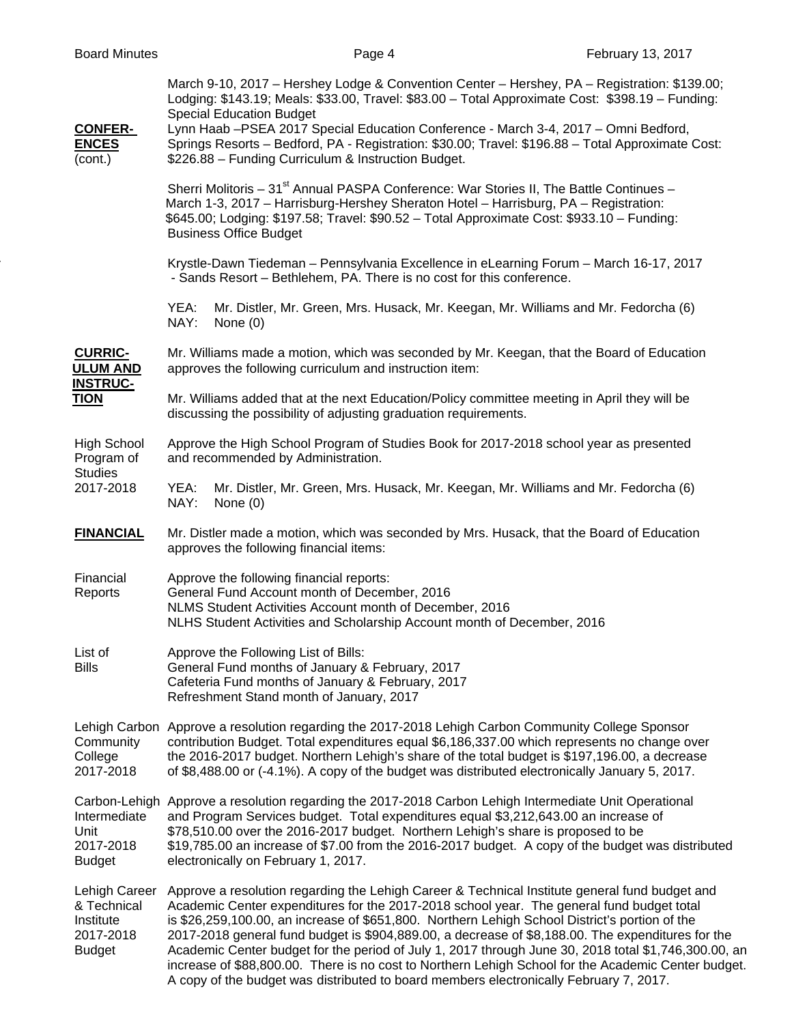| <b>Board Minutes</b>                                                    | Page 4                                                                                                                                                                                                                                                                                                                                                                                                                                                                                                                                                                                                                                                                                                      | February 13, 2017 |
|-------------------------------------------------------------------------|-------------------------------------------------------------------------------------------------------------------------------------------------------------------------------------------------------------------------------------------------------------------------------------------------------------------------------------------------------------------------------------------------------------------------------------------------------------------------------------------------------------------------------------------------------------------------------------------------------------------------------------------------------------------------------------------------------------|-------------------|
| <b>CONFER-</b>                                                          | March 9-10, 2017 - Hershey Lodge & Convention Center - Hershey, PA - Registration: \$139.00;<br>Lodging: \$143.19; Meals: \$33.00, Travel: \$83.00 - Total Approximate Cost: \$398.19 - Funding:<br><b>Special Education Budget</b><br>Lynn Haab -PSEA 2017 Special Education Conference - March 3-4, 2017 - Omni Bedford,                                                                                                                                                                                                                                                                                                                                                                                  |                   |
| <b>ENCES</b><br>(cont.)                                                 | Springs Resorts - Bedford, PA - Registration: \$30.00; Travel: \$196.88 - Total Approximate Cost:<br>\$226.88 - Funding Curriculum & Instruction Budget.                                                                                                                                                                                                                                                                                                                                                                                                                                                                                                                                                    |                   |
|                                                                         | Sherri Molitoris - 31 <sup>st</sup> Annual PASPA Conference: War Stories II, The Battle Continues -<br>March 1-3, 2017 - Harrisburg-Hershey Sheraton Hotel - Harrisburg, PA - Registration:<br>\$645.00; Lodging: \$197.58; Travel: \$90.52 - Total Approximate Cost: \$933.10 - Funding:<br><b>Business Office Budget</b>                                                                                                                                                                                                                                                                                                                                                                                  |                   |
|                                                                         | Krystle-Dawn Tiedeman - Pennsylvania Excellence in eLearning Forum - March 16-17, 2017<br>- Sands Resort - Bethlehem, PA. There is no cost for this conference.                                                                                                                                                                                                                                                                                                                                                                                                                                                                                                                                             |                   |
|                                                                         | YEA:<br>Mr. Distler, Mr. Green, Mrs. Husack, Mr. Keegan, Mr. Williams and Mr. Fedorcha (6)<br>NAY:<br>None $(0)$                                                                                                                                                                                                                                                                                                                                                                                                                                                                                                                                                                                            |                   |
| <b>CURRIC-</b><br><b>ULUM AND</b><br><b>INSTRUC-</b>                    | Mr. Williams made a motion, which was seconded by Mr. Keegan, that the Board of Education<br>approves the following curriculum and instruction item:                                                                                                                                                                                                                                                                                                                                                                                                                                                                                                                                                        |                   |
| <b>TION</b>                                                             | Mr. Williams added that at the next Education/Policy committee meeting in April they will be<br>discussing the possibility of adjusting graduation requirements.                                                                                                                                                                                                                                                                                                                                                                                                                                                                                                                                            |                   |
| <b>High School</b><br>Program of<br><b>Studies</b>                      | Approve the High School Program of Studies Book for 2017-2018 school year as presented<br>and recommended by Administration.                                                                                                                                                                                                                                                                                                                                                                                                                                                                                                                                                                                |                   |
| 2017-2018                                                               | YEA:<br>Mr. Distler, Mr. Green, Mrs. Husack, Mr. Keegan, Mr. Williams and Mr. Fedorcha (6)<br>NAY:<br>None $(0)$                                                                                                                                                                                                                                                                                                                                                                                                                                                                                                                                                                                            |                   |
| <b>FINANCIAL</b>                                                        | Mr. Distler made a motion, which was seconded by Mrs. Husack, that the Board of Education<br>approves the following financial items:                                                                                                                                                                                                                                                                                                                                                                                                                                                                                                                                                                        |                   |
| Financial<br>Reports                                                    | Approve the following financial reports:<br>General Fund Account month of December, 2016<br>NLMS Student Activities Account month of December, 2016<br>NLHS Student Activities and Scholarship Account month of December, 2016                                                                                                                                                                                                                                                                                                                                                                                                                                                                              |                   |
| List of<br><b>Bills</b>                                                 | Approve the Following List of Bills:<br>General Fund months of January & February, 2017<br>Cafeteria Fund months of January & February, 2017<br>Refreshment Stand month of January, 2017                                                                                                                                                                                                                                                                                                                                                                                                                                                                                                                    |                   |
| Community<br>College<br>2017-2018                                       | Lehigh Carbon Approve a resolution regarding the 2017-2018 Lehigh Carbon Community College Sponsor<br>contribution Budget. Total expenditures equal \$6,186,337.00 which represents no change over<br>the 2016-2017 budget. Northern Lehigh's share of the total budget is \$197,196.00, a decrease<br>of \$8,488.00 or (-4.1%). A copy of the budget was distributed electronically January 5, 2017.                                                                                                                                                                                                                                                                                                       |                   |
| Intermediate<br>Unit<br>2017-2018<br><b>Budget</b>                      | Carbon-Lehigh Approve a resolution regarding the 2017-2018 Carbon Lehigh Intermediate Unit Operational<br>and Program Services budget. Total expenditures equal \$3,212,643.00 an increase of<br>\$78,510.00 over the 2016-2017 budget. Northern Lehigh's share is proposed to be<br>\$19,785.00 an increase of \$7.00 from the 2016-2017 budget. A copy of the budget was distributed<br>electronically on February 1, 2017.                                                                                                                                                                                                                                                                               |                   |
| Lehigh Career<br>& Technical<br>Institute<br>2017-2018<br><b>Budget</b> | Approve a resolution regarding the Lehigh Career & Technical Institute general fund budget and<br>Academic Center expenditures for the 2017-2018 school year. The general fund budget total<br>is \$26,259,100.00, an increase of \$651,800. Northern Lehigh School District's portion of the<br>2017-2018 general fund budget is \$904,889.00, a decrease of \$8,188.00. The expenditures for the<br>Academic Center budget for the period of July 1, 2017 through June 30, 2018 total \$1,746,300.00, an<br>increase of \$88,800.00. There is no cost to Northern Lehigh School for the Academic Center budget.<br>A copy of the budget was distributed to board members electronically February 7, 2017. |                   |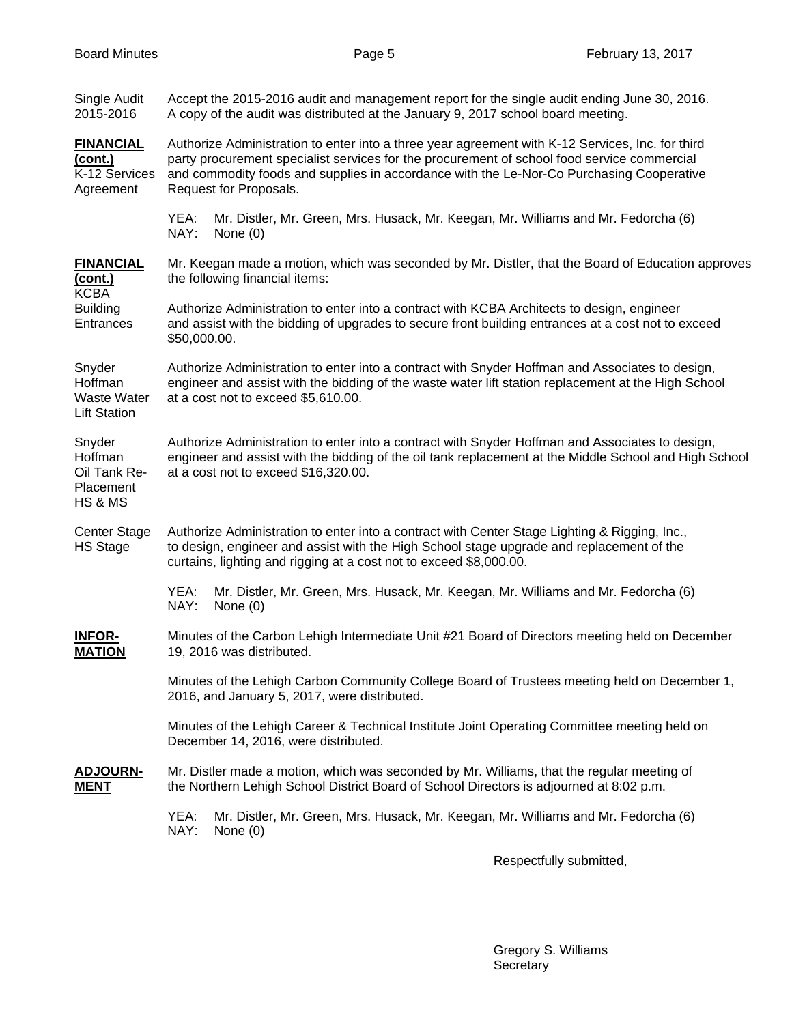| Single Audit<br>2015-2016                                                                | Accept the 2015-2016 audit and management report for the single audit ending June 30, 2016.<br>A copy of the audit was distributed at the January 9, 2017 school board meeting.                                                                                                                                       |  |  |
|------------------------------------------------------------------------------------------|-----------------------------------------------------------------------------------------------------------------------------------------------------------------------------------------------------------------------------------------------------------------------------------------------------------------------|--|--|
| <b>FINANCIAL</b><br>(cont.)<br>K-12 Services<br>Agreement                                | Authorize Administration to enter into a three year agreement with K-12 Services, Inc. for third<br>party procurement specialist services for the procurement of school food service commercial<br>and commodity foods and supplies in accordance with the Le-Nor-Co Purchasing Cooperative<br>Request for Proposals. |  |  |
|                                                                                          | YEA:<br>Mr. Distler, Mr. Green, Mrs. Husack, Mr. Keegan, Mr. Williams and Mr. Fedorcha (6)<br>NAY:<br>None (0)                                                                                                                                                                                                        |  |  |
| <b>FINANCIAL</b><br><u>(cont.)</u><br><b>KCBA</b><br><b>Building</b><br><b>Entrances</b> | Mr. Keegan made a motion, which was seconded by Mr. Distler, that the Board of Education approves<br>the following financial items:                                                                                                                                                                                   |  |  |
|                                                                                          | Authorize Administration to enter into a contract with KCBA Architects to design, engineer<br>and assist with the bidding of upgrades to secure front building entrances at a cost not to exceed<br>\$50,000.00.                                                                                                      |  |  |
| Snyder<br>Hoffman<br><b>Waste Water</b><br><b>Lift Station</b>                           | Authorize Administration to enter into a contract with Snyder Hoffman and Associates to design,<br>engineer and assist with the bidding of the waste water lift station replacement at the High School<br>at a cost not to exceed \$5,610.00.                                                                         |  |  |
| Snyder<br>Hoffman<br>Oil Tank Re-<br>Placement<br>HS & MS                                | Authorize Administration to enter into a contract with Snyder Hoffman and Associates to design,<br>engineer and assist with the bidding of the oil tank replacement at the Middle School and High School<br>at a cost not to exceed \$16,320.00.                                                                      |  |  |
| <b>Center Stage</b><br><b>HS Stage</b>                                                   | Authorize Administration to enter into a contract with Center Stage Lighting & Rigging, Inc.,<br>to design, engineer and assist with the High School stage upgrade and replacement of the<br>curtains, lighting and rigging at a cost not to exceed \$8,000.00.                                                       |  |  |
|                                                                                          | YEA:<br>Mr. Distler, Mr. Green, Mrs. Husack, Mr. Keegan, Mr. Williams and Mr. Fedorcha (6)<br>NAY:<br>None $(0)$                                                                                                                                                                                                      |  |  |
| <b>INFOR-</b><br><b>MATION</b>                                                           | Minutes of the Carbon Lehigh Intermediate Unit #21 Board of Directors meeting held on December<br>19, 2016 was distributed.                                                                                                                                                                                           |  |  |
|                                                                                          | Minutes of the Lehigh Carbon Community College Board of Trustees meeting held on December 1,<br>2016, and January 5, 2017, were distributed.                                                                                                                                                                          |  |  |
|                                                                                          | Minutes of the Lehigh Career & Technical Institute Joint Operating Committee meeting held on<br>December 14, 2016, were distributed.                                                                                                                                                                                  |  |  |
| <b>ADJOURN-</b><br><b>MENT</b>                                                           | Mr. Distler made a motion, which was seconded by Mr. Williams, that the regular meeting of<br>the Northern Lehigh School District Board of School Directors is adjourned at 8:02 p.m.                                                                                                                                 |  |  |
|                                                                                          | YEA:<br>Mr. Distler, Mr. Green, Mrs. Husack, Mr. Keegan, Mr. Williams and Mr. Fedorcha (6)<br>NAY:<br>None $(0)$                                                                                                                                                                                                      |  |  |
|                                                                                          |                                                                                                                                                                                                                                                                                                                       |  |  |

Respectfully submitted,